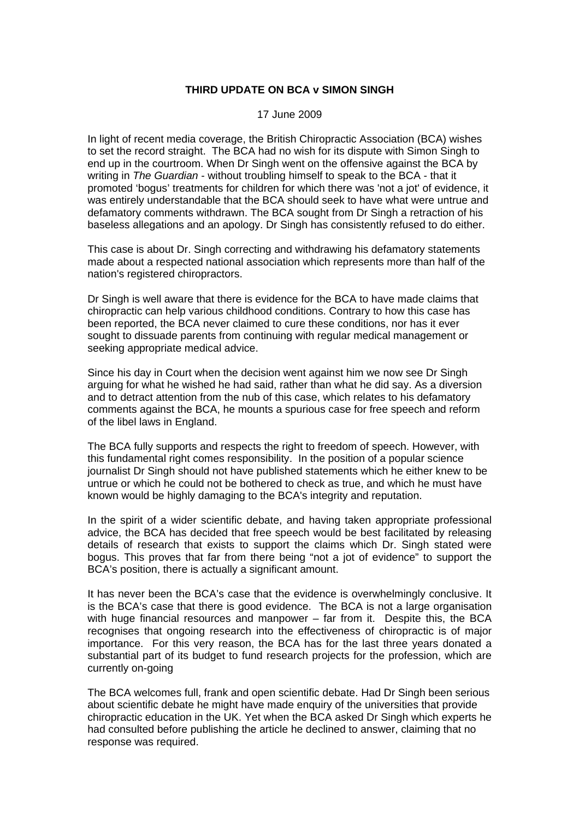## **THIRD UPDATE ON BCA v SIMON SINGH**

## 17 June 2009

In light of recent media coverage, the British Chiropractic Association (BCA) wishes to set the record straight. The BCA had no wish for its dispute with Simon Singh to end up in the courtroom. When Dr Singh went on the offensive against the BCA by writing in *The Guardian* - without troubling himself to speak to the BCA - that it promoted 'bogus' treatments for children for which there was 'not a jot' of evidence, it was entirely understandable that the BCA should seek to have what were untrue and defamatory comments withdrawn. The BCA sought from Dr Singh a retraction of his baseless allegations and an apology. Dr Singh has consistently refused to do either.

This case is about Dr. Singh correcting and withdrawing his defamatory statements made about a respected national association which represents more than half of the nation's registered chiropractors.

Dr Singh is well aware that there is evidence for the BCA to have made claims that chiropractic can help various childhood conditions. Contrary to how this case has been reported, the BCA never claimed to cure these conditions, nor has it ever sought to dissuade parents from continuing with regular medical management or seeking appropriate medical advice.

Since his day in Court when the decision went against him we now see Dr Singh arguing for what he wished he had said, rather than what he did say. As a diversion and to detract attention from the nub of this case, which relates to his defamatory comments against the BCA, he mounts a spurious case for free speech and reform of the libel laws in England.

The BCA fully supports and respects the right to freedom of speech. However, with this fundamental right comes responsibility. In the position of a popular science journalist Dr Singh should not have published statements which he either knew to be untrue or which he could not be bothered to check as true, and which he must have known would be highly damaging to the BCA's integrity and reputation.

In the spirit of a wider scientific debate, and having taken appropriate professional advice, the BCA has decided that free speech would be best facilitated by releasing details of research that exists to support the claims which Dr. Singh stated were bogus. This proves that far from there being "not a jot of evidence" to support the BCA's position, there is actually a significant amount.

It has never been the BCA's case that the evidence is overwhelmingly conclusive. It is the BCA's case that there is good evidence. The BCA is not a large organisation with huge financial resources and manpower – far from it. Despite this, the BCA recognises that ongoing research into the effectiveness of chiropractic is of major importance. For this very reason, the BCA has for the last three years donated a substantial part of its budget to fund research projects for the profession, which are currently on-going

The BCA welcomes full, frank and open scientific debate. Had Dr Singh been serious about scientific debate he might have made enquiry of the universities that provide chiropractic education in the UK. Yet when the BCA asked Dr Singh which experts he had consulted before publishing the article he declined to answer, claiming that no response was required.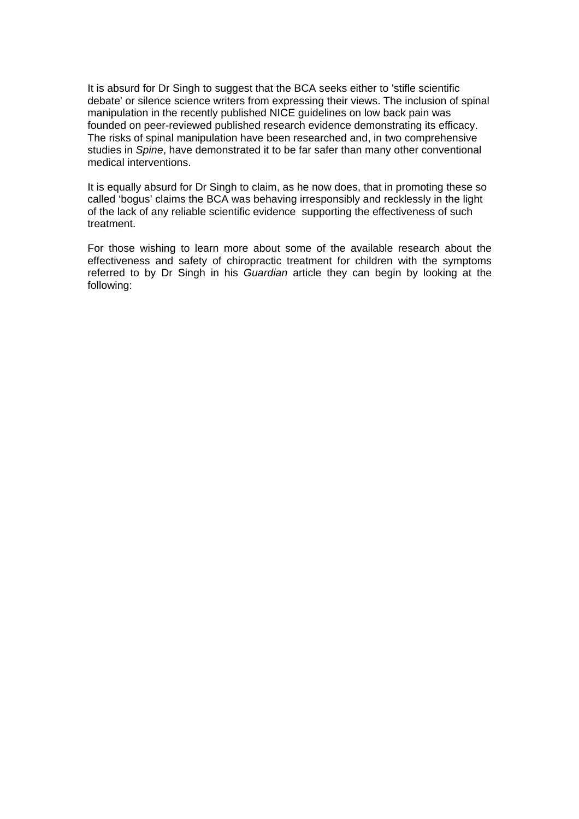It is absurd for Dr Singh to suggest that the BCA seeks either to 'stifle scientific debate' or silence science writers from expressing their views. The inclusion of spinal manipulation in the recently published NICE guidelines on low back pain was founded on peer-reviewed published research evidence demonstrating its efficacy. The risks of spinal manipulation have been researched and, in two comprehensive studies in *Spine*, have demonstrated it to be far safer than many other conventional medical interventions.

It is equally absurd for Dr Singh to claim, as he now does, that in promoting these so called 'bogus' claims the BCA was behaving irresponsibly and recklessly in the light of the lack of any reliable scientific evidence supporting the effectiveness of such treatment.

For those wishing to learn more about some of the available research about the effectiveness and safety of chiropractic treatment for children with the symptoms referred to by Dr Singh in his *Guardian* article they can begin by looking at the following: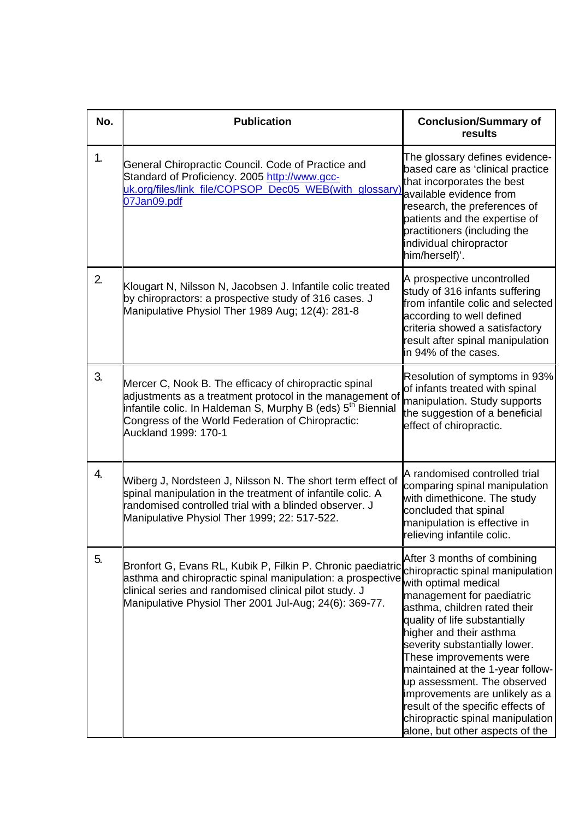| No. | <b>Publication</b>                                                                                                                                                                                                                                                        | <b>Conclusion/Summary of</b><br>results                                                                                                                                                                                                                                                                                                                                                                                                                                                       |
|-----|---------------------------------------------------------------------------------------------------------------------------------------------------------------------------------------------------------------------------------------------------------------------------|-----------------------------------------------------------------------------------------------------------------------------------------------------------------------------------------------------------------------------------------------------------------------------------------------------------------------------------------------------------------------------------------------------------------------------------------------------------------------------------------------|
| 1.  | General Chiropractic Council. Code of Practice and<br>Standard of Proficiency. 2005 http://www.gcc-<br>uk.org/files/link file/COPSOP Dec05 WEB(with glossary)<br>07Jan09.pdf                                                                                              | The glossary defines evidence-<br>based care as 'clinical practice<br>that incorporates the best<br>available evidence from<br>research, the preferences of<br>patients and the expertise of<br>practitioners (including the<br>individual chiropractor<br>him/herself)'.                                                                                                                                                                                                                     |
| 2.  | Klougart N, Nilsson N, Jacobsen J. Infantile colic treated<br>by chiropractors: a prospective study of 316 cases. J<br>Manipulative Physiol Ther 1989 Aug; 12(4): 281-8                                                                                                   | A prospective uncontrolled<br>study of 316 infants suffering<br>from infantile colic and selected<br>according to well defined<br>criteria showed a satisfactory<br>result after spinal manipulation<br>in 94% of the cases.                                                                                                                                                                                                                                                                  |
| 3.  | Mercer C, Nook B. The efficacy of chiropractic spinal<br>adjustments as a treatment protocol in the management of<br>infantile colic. In Haldeman S, Murphy B (eds) 5 <sup>th</sup> Biennial<br>Congress of the World Federation of Chiropractic:<br>Auckland 1999: 170-1 | Resolution of symptoms in 93%<br>of infants treated with spinal<br>manipulation. Study supports<br>the suggestion of a beneficial<br>effect of chiropractic.                                                                                                                                                                                                                                                                                                                                  |
| 4.  | Wiberg J, Nordsteen J, Nilsson N. The short term effect of<br>spinal manipulation in the treatment of infantile colic. A<br>randomised controlled trial with a blinded observer. J<br>Manipulative Physiol Ther 1999; 22: 517-522.                                        | A randomised controlled trial<br>comparing spinal manipulation<br>with dimethicone. The study<br>concluded that spinal<br>manipulation is effective in<br>relieving infantile colic.                                                                                                                                                                                                                                                                                                          |
| 5.  | Bronfort G, Evans RL, Kubik P, Filkin P. Chronic paediatric<br>asthma and chiropractic spinal manipulation: a prospective<br>clinical series and randomised clinical pilot study. J<br>Manipulative Physiol Ther 2001 Jul-Aug; 24(6): 369-77.                             | After 3 months of combining<br>chiropractic spinal manipulation<br>with optimal medical<br>management for paediatric<br>asthma, children rated their<br>quality of life substantially<br>higher and their asthma<br>severity substantially lower.<br>These improvements were<br>maintained at the 1-year follow-<br>up assessment. The observed<br>improvements are unlikely as a<br>result of the specific effects of<br>chiropractic spinal manipulation<br>alone, but other aspects of the |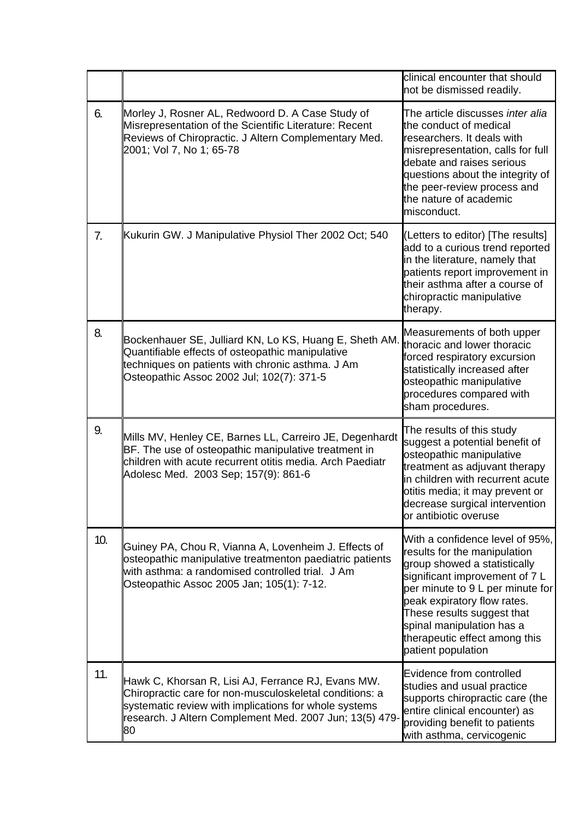|     |                                                                                                                                                                                                                                         | clinical encounter that should<br>not be dismissed readily.                                                                                                                                                                                                                                                            |
|-----|-----------------------------------------------------------------------------------------------------------------------------------------------------------------------------------------------------------------------------------------|------------------------------------------------------------------------------------------------------------------------------------------------------------------------------------------------------------------------------------------------------------------------------------------------------------------------|
| 6.  | Morley J, Rosner AL, Redwoord D. A Case Study of<br>Misrepresentation of the Scientific Literature: Recent<br>Reviews of Chiropractic. J Altern Complementary Med.<br>2001; Vol 7, No 1; 65-78                                          | The article discusses inter alia<br>the conduct of medical<br>researchers. It deals with<br>misrepresentation, calls for full<br>debate and raises serious<br>questions about the integrity of<br>the peer-review process and<br>the nature of academic<br>misconduct.                                                 |
| 7.  | Kukurin GW. J Manipulative Physiol Ther 2002 Oct; 540                                                                                                                                                                                   | (Letters to editor) [The results]<br>add to a curious trend reported<br>in the literature, namely that<br>patients report improvement in<br>their asthma after a course of<br>chiropractic manipulative<br>therapy.                                                                                                    |
| 8.  | Bockenhauer SE, Julliard KN, Lo KS, Huang E, Sheth AM.<br>Quantifiable effects of osteopathic manipulative<br>techniques on patients with chronic asthma. J Am<br>Osteopathic Assoc 2002 Jul; 102(7): 371-5                             | Measurements of both upper<br>thoracic and lower thoracic<br>forced respiratory excursion<br>statistically increased after<br>osteopathic manipulative<br>procedures compared with<br>sham procedures.                                                                                                                 |
| 9.  | Mills MV, Henley CE, Barnes LL, Carreiro JE, Degenhardt<br>BF. The use of osteopathic manipulative treatment in<br>children with acute recurrent otitis media. Arch Paediatr<br>Adolesc Med. 2003 Sep; 157(9): 861-6                    | The results of this study<br>suggest a potential benefit of<br>osteopathic manipulative<br>treatment as adjuvant therapy<br>in children with recurrent acute<br>otitis media; it may prevent or<br>decrease surgical intervention<br>or antibiotic overuse                                                             |
| 10. | Guiney PA, Chou R, Vianna A, Lovenheim J. Effects of<br>osteopathic manipulative treatmenton paediatric patients<br>with asthma: a randomised controlled trial. J Am<br>Osteopathic Assoc 2005 Jan; 105(1): 7-12.                       | With a confidence level of 95%,<br>results for the manipulation<br>group showed a statistically<br>significant improvement of 7 L<br>per minute to 9 L per minute for<br>peak expiratory flow rates.<br>These results suggest that<br>spinal manipulation has a<br>therapeutic effect among this<br>patient population |
| 11. | Hawk C, Khorsan R, Lisi AJ, Ferrance RJ, Evans MW.<br>Chiropractic care for non-musculoskeletal conditions: a<br>systematic review with implications for whole systems<br>research. J Altern Complement Med. 2007 Jun; 13(5) 479-<br>80 | Evidence from controlled<br>studies and usual practice<br>supports chiropractic care (the<br>entire clinical encounter) as<br>providing benefit to patients<br>with asthma, cervicogenic                                                                                                                               |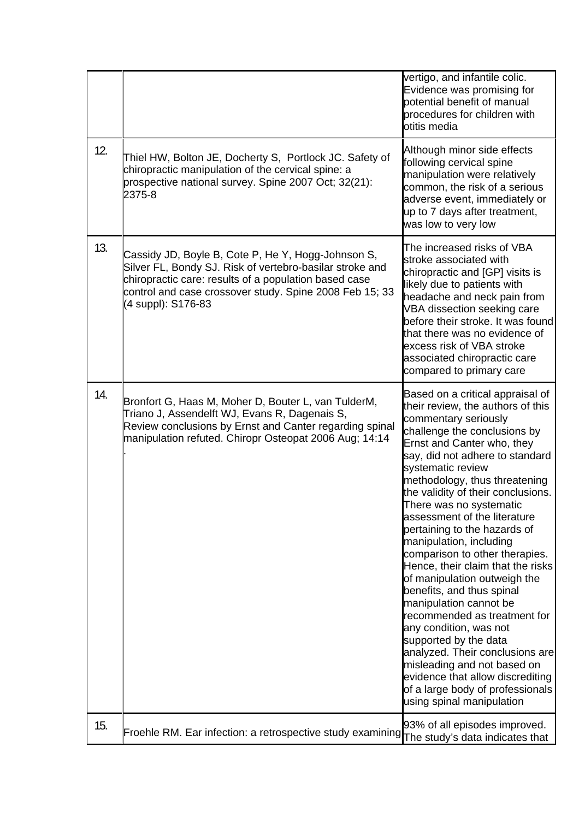|     |                                                                                                                                                                                                                                                          | vertigo, and infantile colic.<br>Evidence was promising for<br>potential benefit of manual<br>procedures for children with<br>otitis media                                                                                                                                                                                                                                                                                                                                                                                                                                                                                                                                                                                                                                                                                               |
|-----|----------------------------------------------------------------------------------------------------------------------------------------------------------------------------------------------------------------------------------------------------------|------------------------------------------------------------------------------------------------------------------------------------------------------------------------------------------------------------------------------------------------------------------------------------------------------------------------------------------------------------------------------------------------------------------------------------------------------------------------------------------------------------------------------------------------------------------------------------------------------------------------------------------------------------------------------------------------------------------------------------------------------------------------------------------------------------------------------------------|
| 12. | Thiel HW, Bolton JE, Docherty S, Portlock JC. Safety of<br>chiropractic manipulation of the cervical spine: a<br>prospective national survey. Spine 2007 Oct; 32(21):<br>2375-8                                                                          | Although minor side effects<br>following cervical spine<br>manipulation were relatively<br>common, the risk of a serious<br>adverse event, immediately or<br>up to 7 days after treatment,<br>was low to very low                                                                                                                                                                                                                                                                                                                                                                                                                                                                                                                                                                                                                        |
| 13. | Cassidy JD, Boyle B, Cote P, He Y, Hogg-Johnson S,<br>Silver FL, Bondy SJ. Risk of vertebro-basilar stroke and<br>chiropractic care: results of a population based case<br>control and case crossover study. Spine 2008 Feb 15; 33<br>(4 suppl): S176-83 | The increased risks of VBA<br>stroke associated with<br>chiropractic and [GP] visits is<br>likely due to patients with<br>headache and neck pain from<br>VBA dissection seeking care<br>before their stroke. It was found<br>that there was no evidence of<br>excess risk of VBA stroke<br>associated chiropractic care<br>compared to primary care                                                                                                                                                                                                                                                                                                                                                                                                                                                                                      |
| 14. | Bronfort G, Haas M, Moher D, Bouter L, van TulderM,<br>Triano J, Assendelft WJ, Evans R, Dagenais S,<br>Review conclusions by Ernst and Canter regarding spinal<br>manipulation refuted. Chiropr Osteopat 2006 Aug; 14:14                                | Based on a critical appraisal of<br>their review, the authors of this<br>commentary seriously<br>challenge the conclusions by<br>Ernst and Canter who, they<br>say, did not adhere to standard<br>systematic review<br>methodology, thus threatening<br>the validity of their conclusions.<br>There was no systematic<br>assessment of the literature<br>pertaining to the hazards of<br>manipulation, including<br>comparison to other therapies.<br>Hence, their claim that the risks<br>of manipulation outweigh the<br>benefits, and thus spinal<br>manipulation cannot be<br>recommended as treatment for<br>any condition, was not<br>supported by the data<br>analyzed. Their conclusions are<br>misleading and not based on<br>evidence that allow discrediting<br>of a large body of professionals<br>using spinal manipulation |
| 15. | Froehle RM. Ear infection: a retrospective study examining                                                                                                                                                                                               | 93% of all episodes improved.<br>The study's data indicates that                                                                                                                                                                                                                                                                                                                                                                                                                                                                                                                                                                                                                                                                                                                                                                         |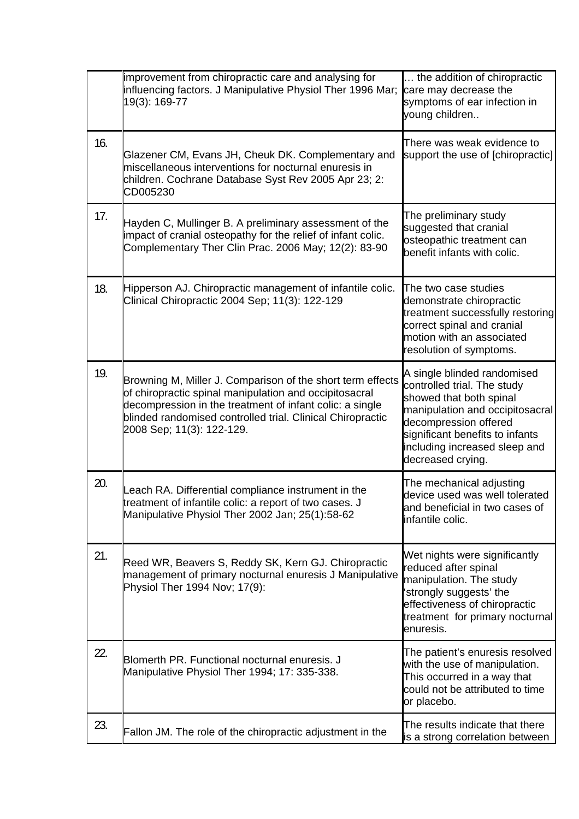|     | improvement from chiropractic care and analysing for<br>influencing factors. J Manipulative Physiol Ther 1996 Mar;<br>19(3): 169-77                                                                                                                                         | the addition of chiropractic<br>care may decrease the<br>symptoms of ear infection in<br>young children                                                                                                                                    |
|-----|-----------------------------------------------------------------------------------------------------------------------------------------------------------------------------------------------------------------------------------------------------------------------------|--------------------------------------------------------------------------------------------------------------------------------------------------------------------------------------------------------------------------------------------|
| 16. | Glazener CM, Evans JH, Cheuk DK. Complementary and<br>miscellaneous interventions for nocturnal enuresis in<br>children. Cochrane Database Syst Rev 2005 Apr 23; 2:<br>CD005230                                                                                             | There was weak evidence to<br>support the use of [chiropractic]                                                                                                                                                                            |
| 17. | Hayden C, Mullinger B. A preliminary assessment of the<br>impact of cranial osteopathy for the relief of infant colic.<br>Complementary Ther Clin Prac. 2006 May; 12(2): 83-90                                                                                              | The preliminary study<br>suggested that cranial<br>osteopathic treatment can<br>benefit infants with colic.                                                                                                                                |
| 18. | Hipperson AJ. Chiropractic management of infantile colic.<br>Clinical Chiropractic 2004 Sep; 11(3): 122-129                                                                                                                                                                 | The two case studies<br>demonstrate chiropractic<br>treatment successfully restoring<br>correct spinal and cranial<br>motion with an associated<br>resolution of symptoms.                                                                 |
| 19. | Browning M, Miller J. Comparison of the short term effects<br>of chiropractic spinal manipulation and occipitosacral<br>decompression in the treatment of infant colic: a single<br>blinded randomised controlled trial. Clinical Chiropractic<br>2008 Sep; 11(3): 122-129. | A single blinded randomised<br>controlled trial. The study<br>showed that both spinal<br>manipulation and occipitosacral<br>decompression offered<br>significant benefits to infants<br>including increased sleep and<br>decreased crying. |
| 20. | Leach RA. Differential compliance instrument in the<br>treatment of infantile colic: a report of two cases. J<br>Manipulative Physiol Ther 2002 Jan; 25(1):58-62                                                                                                            | The mechanical adjusting<br>device used was well tolerated<br>and beneficial in two cases of<br>infantile colic.                                                                                                                           |
| 21. | Reed WR, Beavers S, Reddy SK, Kern GJ. Chiropractic<br>management of primary nocturnal enuresis J Manipulative<br>Physiol Ther 1994 Nov; 17(9):                                                                                                                             | Wet nights were significantly<br>reduced after spinal<br>manipulation. The study<br>strongly suggests' the<br>effectiveness of chiropractic<br>treatment for primary nocturnal<br>enuresis.                                                |
| 22. | Blomerth PR. Functional nocturnal enuresis. J<br>Manipulative Physiol Ther 1994; 17: 335-338.                                                                                                                                                                               | The patient's enuresis resolved<br>with the use of manipulation.<br>This occurred in a way that<br>could not be attributed to time<br>or placebo.                                                                                          |
| 23. | Fallon JM. The role of the chiropractic adjustment in the                                                                                                                                                                                                                   | The results indicate that there<br>is a strong correlation between                                                                                                                                                                         |